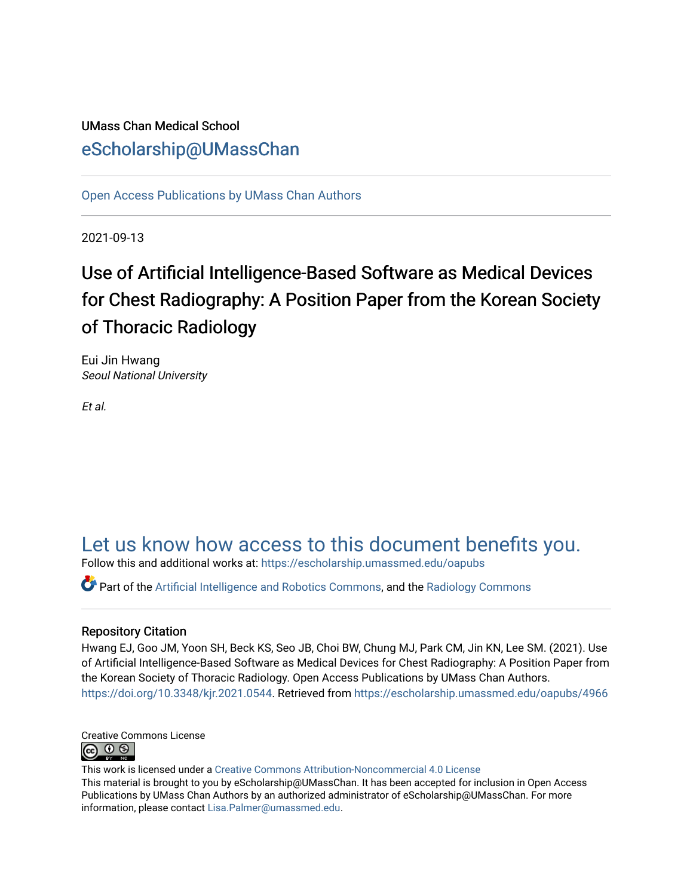# UMass Chan Medical School [eScholarship@UMassChan](https://escholarship.umassmed.edu/)

[Open Access Publications by UMass Chan Authors](https://escholarship.umassmed.edu/oapubs) 

2021-09-13

# Use of Artificial Intelligence-Based Software as Medical Devices for Chest Radiography: A Position Paper from the Korean Society of Thoracic Radiology

Eui Jin Hwang Seoul National University

Et al.

# [Let us know how access to this document benefits you.](https://arcsapps.umassmed.edu/redcap/surveys/?s=XWRHNF9EJE)

Follow this and additional works at: [https://escholarship.umassmed.edu/oapubs](https://escholarship.umassmed.edu/oapubs?utm_source=escholarship.umassmed.edu%2Foapubs%2F4966&utm_medium=PDF&utm_campaign=PDFCoverPages) 

Part of the [Artificial Intelligence and Robotics Commons](https://network.bepress.com/hgg/discipline/143?utm_source=escholarship.umassmed.edu%2Foapubs%2F4966&utm_medium=PDF&utm_campaign=PDFCoverPages), and the [Radiology Commons](https://network.bepress.com/hgg/discipline/705?utm_source=escholarship.umassmed.edu%2Foapubs%2F4966&utm_medium=PDF&utm_campaign=PDFCoverPages) 

## Repository Citation

Hwang EJ, Goo JM, Yoon SH, Beck KS, Seo JB, Choi BW, Chung MJ, Park CM, Jin KN, Lee SM. (2021). Use of Artificial Intelligence-Based Software as Medical Devices for Chest Radiography: A Position Paper from the Korean Society of Thoracic Radiology. Open Access Publications by UMass Chan Authors. <https://doi.org/10.3348/kjr.2021.0544>. Retrieved from [https://escholarship.umassmed.edu/oapubs/4966](https://escholarship.umassmed.edu/oapubs/4966?utm_source=escholarship.umassmed.edu%2Foapubs%2F4966&utm_medium=PDF&utm_campaign=PDFCoverPages) 



This work is licensed under a [Creative Commons Attribution-Noncommercial 4.0 License](http://creativecommons.org/licenses/by-nc/4.0/)  This material is brought to you by eScholarship@UMassChan. It has been accepted for inclusion in Open Access Publications by UMass Chan Authors by an authorized administrator of eScholarship@UMassChan. For more information, please contact [Lisa.Palmer@umassmed.edu.](mailto:Lisa.Palmer@umassmed.edu)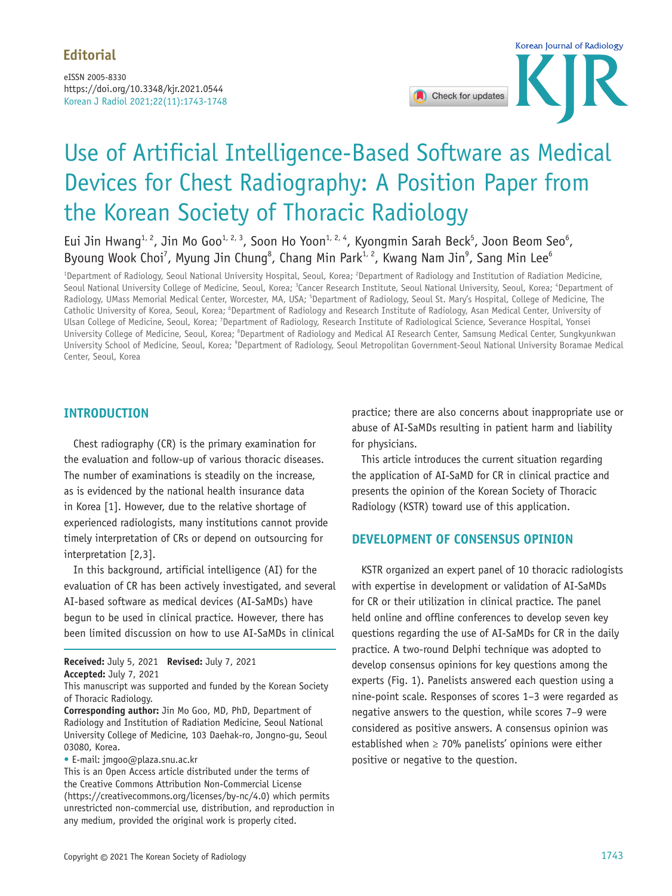Korean J Radiol 2021;22(11):1743-1748 eISSN 2005-8330 https://doi.org/10.3348/kjr.2021.0544



# Use of Artificial Intelligence-Based Software as Medical Devices for Chest Radiography: A Position Paper from the Korean Society of Thoracic Radiology

Eui Jin Hwang<sup>1, 2</sup>, Jin Mo Goo<sup>1, 2, 3</sup>, Soon Ho Yoon<sup>1, 2, 4</sup>, Kyongmin Sarah Beck<sup>5</sup>, Joon Beom Seo<sup>6</sup>, Byoung Wook Choi<sup>7</sup>, Myung Jin Chung<sup>8</sup>, Chang Min Park<sup>1, 2</sup>, Kwang Nam Jin<sup>9</sup>, Sang Min Lee<sup>6</sup>

<sup>1</sup>Department of Radiology, Seoul National University Hospital, Seoul, Korea; <sup>2</sup>Department of Radiology and Institution of Radiation Medicine, Seoul National University College of Medicine, Seoul, Korea; <sup>3</sup>Cancer Research Institute, Seoul National University, Seoul, Korea; 'Department of Radiology, UMass Memorial Medical Center, Worcester, MA, USA; <sup>5</sup>Department of Radiology, Seoul St. Mary's Hospital, College of Medicine, The Catholic University of Korea, Seoul, Korea; <sup>6</sup>Department of Radiology and Research Institute of Radiology, Asan Medical Center, University of Ulsan College of Medicine, Seoul, Korea; <sup>7</sup>Department of Radiology, Research Institute of Radiological Science, Severance Hospital, Yonsei University College of Medicine, Seoul, Korea; <sup>8</sup>Department of Radiology and Medical AI Research Center, Samsung Medical Center, Sungkyunkwan University School of Medicine, Seoul, Korea; <sup>9</sup>Department of Radiology, Seoul Metropolitan Government-Seoul National University Boramae Medical Center, Seoul, Korea

# **INTRODUCTION**

Chest radiography (CR) is the primary examination for the evaluation and follow-up of various thoracic diseases. The number of examinations is steadily on the increase, as is evidenced by the national health insurance data in Korea [1]. However, due to the relative shortage of experienced radiologists, many institutions cannot provide timely interpretation of CRs or depend on outsourcing for interpretation [2,3].

In this background, artificial intelligence (AI) for the evaluation of CR has been actively investigated, and several AI-based software as medical devices (AI-SaMDs) have begun to be used in clinical practice. However, there has been limited discussion on how to use AI-SaMDs in clinical

**Received:** July 5, 2021 **Revised:** July 7, 2021

**Accepted:** July 7, 2021

• E-mail: jmgoo@plaza.snu.ac.kr

practice; there are also concerns about inappropriate use or abuse of AI-SaMDs resulting in patient harm and liability for physicians.

This article introduces the current situation regarding the application of AI-SaMD for CR in clinical practice and presents the opinion of the Korean Society of Thoracic Radiology (KSTR) toward use of this application.

## **DEVELOPMENT OF CONSENSUS OPINION**

KSTR organized an expert panel of 10 thoracic radiologists with expertise in development or validation of AI-SaMDs for CR or their utilization in clinical practice. The panel held online and offline conferences to develop seven key questions regarding the use of AI-SaMDs for CR in the daily practice. A two-round Delphi technique was adopted to develop consensus opinions for key questions among the experts (Fig. 1). Panelists answered each question using a nine-point scale. Responses of scores 1–3 were regarded as negative answers to the question, while scores 7–9 were considered as positive answers. A consensus opinion was established when  $\geq 70\%$  panelists' opinions were either positive or negative to the question.

This manuscript was supported and funded by the Korean Society of Thoracic Radiology.

**Corresponding author:** Jin Mo Goo, MD, PhD, Department of Radiology and Institution of Radiation Medicine, Seoul National University College of Medicine, 103 Daehak-ro, Jongno-gu, Seoul 03080, Korea.

This is an Open Access article distributed under the terms of the Creative Commons Attribution Non-Commercial License (https://creativecommons.org/licenses/by-nc/4.0) which permits unrestricted non-commercial use, distribution, and reproduction in any medium, provided the original work is properly cited.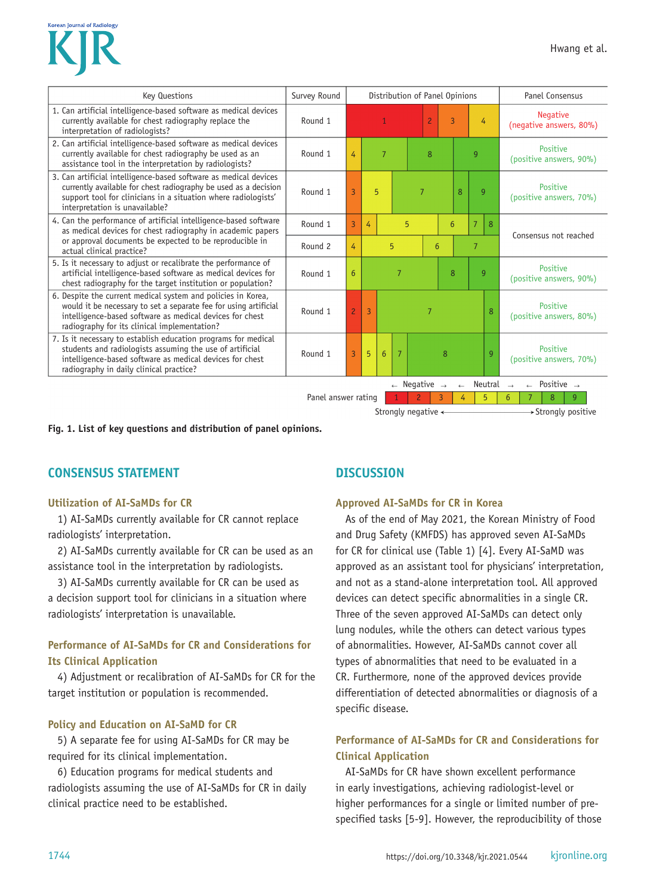

| <b>Key Questions</b>                                                                                                                                                                                                                         | Survey Round                                          | Distribution of Panel Opinions |                                        |  |                |                | Panel Consensus |                 |                                     |                                            |                                     |
|----------------------------------------------------------------------------------------------------------------------------------------------------------------------------------------------------------------------------------------------|-------------------------------------------------------|--------------------------------|----------------------------------------|--|----------------|----------------|-----------------|-----------------|-------------------------------------|--------------------------------------------|-------------------------------------|
| 1. Can artificial intelligence-based software as medical devices<br>currently available for chest radiography replace the<br>interpretation of radiologists?                                                                                 | Round 1                                               |                                |                                        |  | $\overline{c}$ | 3              |                 | 4               |                                     | <b>Negative</b><br>(negative answers, 80%) |                                     |
| 2. Can artificial intelligence-based software as medical devices<br>currently available for chest radiography be used as an<br>assistance tool in the interpretation by radiologists?                                                        | Round 1                                               | 4                              | $\overline{7}$                         |  | 8              |                |                 | 9               |                                     | Positive<br>(positive answers, 90%)        |                                     |
| 3. Can artificial intelligence-based software as medical devices<br>currently available for chest radiography be used as a decision<br>support tool for clinicians in a situation where radiologists'<br>interpretation is unavailable?      | Round 1                                               | $\overline{3}$                 | 5                                      |  |                | $\overline{7}$ | 8               |                 |                                     | $\overline{9}$                             | Positive<br>(positive answers, 70%) |
| 4. Can the performance of artificial intelligence-based software<br>as medical devices for chest radiography in academic papers                                                                                                              | Round 1                                               | $\overline{3}$                 | 4                                      |  | 5              |                |                 | $6\overline{6}$ | 8<br>7                              |                                            | Consensus not reached               |
| or approval documents be expected to be reproducible in<br>actual clinical practice?                                                                                                                                                         | Round 2                                               | 4                              | 5                                      |  |                | 6              |                 |                 | $\overline{7}$                      |                                            |                                     |
| 5. Is it necessary to adjust or recalibrate the performance of<br>artificial intelligence-based software as medical devices for<br>chest radiography for the target institution or population?                                               | Round 1                                               | 6                              | 7                                      |  |                | 8              |                 | 9               | Positive<br>(positive answers, 90%) |                                            |                                     |
| 6. Despite the current medical system and policies in Korea,<br>would it be necessary to set a separate fee for using artificial<br>intelligence-based software as medical devices for chest<br>radiography for its clinical implementation? | Round 1                                               | $\overline{c}$                 | $\overline{3}$                         |  |                | 7              |                 |                 |                                     | 8                                          | Positive<br>(positive answers, 80%) |
| 7. Is it necessary to establish education programs for medical<br>students and radiologists assuming the use of artificial<br>intelligence-based software as medical devices for chest<br>radiography in daily clinical practice?            | Round 1                                               | $\overline{3}$                 | 5<br>$\overline{7}$<br>$6\overline{6}$ |  |                |                | 8               |                 |                                     | g                                          | Positive<br>(positive answers, 70%) |
|                                                                                                                                                                                                                                              | $\leftarrow$ Negative<br>Neutral<br>$\rightarrow$     |                                |                                        |  |                |                |                 |                 | Positive $\rightarrow$              |                                            |                                     |
|                                                                                                                                                                                                                                              | 5<br>Panel answer rating<br>4                         |                                |                                        |  |                |                |                 | 9<br>8<br>6     |                                     |                                            |                                     |
|                                                                                                                                                                                                                                              | → Strongly positive<br>Strongly negative $\leftarrow$ |                                |                                        |  |                |                |                 |                 |                                     |                                            |                                     |

**Fig. 1. List of key questions and distribution of panel opinions.**

## **CONSENSUS STATEMENT**

#### **Utilization of AI-SaMDs for CR**

1) AI-SaMDs currently available for CR cannot replace radiologists' interpretation.

2) AI-SaMDs currently available for CR can be used as an assistance tool in the interpretation by radiologists.

3) AI-SaMDs currently available for CR can be used as a decision support tool for clinicians in a situation where radiologists' interpretation is unavailable.

# **Performance of AI-SaMDs for CR and Considerations for Its Clinical Application**

4) Adjustment or recalibration of AI-SaMDs for CR for the target institution or population is recommended.

#### **Policy and Education on AI-SaMD for CR**

5) A separate fee for using AI-SaMDs for CR may be required for its clinical implementation.

6) Education programs for medical students and radiologists assuming the use of AI-SaMDs for CR in daily clinical practice need to be established.

# **DISCUSSION**

#### **Approved AI-SaMDs for CR in Korea**

As of the end of May 2021, the Korean Ministry of Food and Drug Safety (KMFDS) has approved seven AI-SaMDs for CR for clinical use (Table 1) [4]. Every AI-SaMD was approved as an assistant tool for physicians' interpretation, and not as a stand-alone interpretation tool. All approved devices can detect specific abnormalities in a single CR. Three of the seven approved AI-SaMDs can detect only lung nodules, while the others can detect various types of abnormalities. However, AI-SaMDs cannot cover all types of abnormalities that need to be evaluated in a CR. Furthermore, none of the approved devices provide differentiation of detected abnormalities or diagnosis of a specific disease.

# **Performance of AI-SaMDs for CR and Considerations for Clinical Application**

AI-SaMDs for CR have shown excellent performance in early investigations, achieving radiologist-level or higher performances for a single or limited number of prespecified tasks [5-9]. However, the reproducibility of those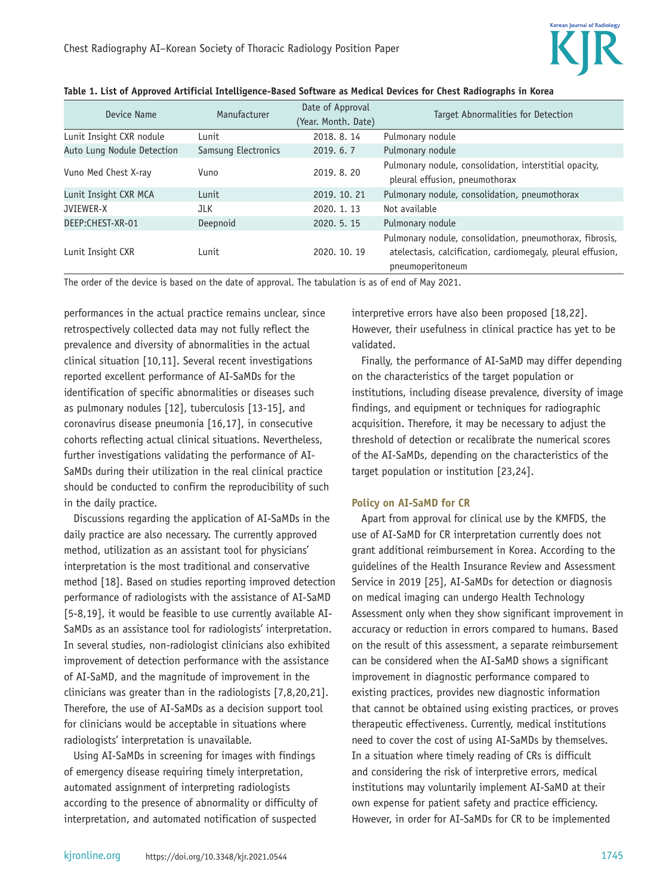

| Device Name                | Manufacturer        | Date of Approval<br>(Year. Month. Date) | Target Abnormalities for Detection                                                                                                          |
|----------------------------|---------------------|-----------------------------------------|---------------------------------------------------------------------------------------------------------------------------------------------|
|                            |                     |                                         |                                                                                                                                             |
| Lunit Insight CXR nodule   | Lunit               | 2018, 8, 14                             | Pulmonary nodule                                                                                                                            |
| Auto Lung Nodule Detection | Samsung Electronics | 2019.6.7                                | Pulmonary nodule                                                                                                                            |
| Vuno Med Chest X-ray       | Vuno                | 2019. 8. 20                             | Pulmonary nodule, consolidation, interstitial opacity,<br>pleural effusion, pneumothorax                                                    |
| Lunit Insight CXR MCA      | <b>Lunit</b>        | 2019, 10, 21                            | Pulmonary nodule, consolidation, pneumothorax                                                                                               |
| JVIEWER-X                  | <b>JLK</b>          | 2020. 1. 13                             | Not available                                                                                                                               |
| DEEP:CHEST-XR-01           | Deepnoid            | 2020. 5. 15                             | Pulmonary nodule                                                                                                                            |
| Lunit Insight CXR          | Lunit               | 2020, 10, 19                            | Pulmonary nodule, consolidation, pneumothorax, fibrosis,<br>atelectasis, calcification, cardiomegaly, pleural effusion,<br>pneumoperitoneum |

#### **Table 1. List of Approved Artificial Intelligence-Based Software as Medical Devices for Chest Radiographs in Korea**

The order of the device is based on the date of approval. The tabulation is as of end of May 2021.

performances in the actual practice remains unclear, since retrospectively collected data may not fully reflect the prevalence and diversity of abnormalities in the actual clinical situation [10,11]. Several recent investigations reported excellent performance of AI-SaMDs for the identification of specific abnormalities or diseases such as pulmonary nodules [12], tuberculosis [13-15], and coronavirus disease pneumonia [16,17], in consecutive cohorts reflecting actual clinical situations. Nevertheless, further investigations validating the performance of AI-SaMDs during their utilization in the real clinical practice should be conducted to confirm the reproducibility of such in the daily practice.

Discussions regarding the application of AI-SaMDs in the daily practice are also necessary. The currently approved method, utilization as an assistant tool for physicians' interpretation is the most traditional and conservative method [18]. Based on studies reporting improved detection performance of radiologists with the assistance of AI-SaMD [5-8,19], it would be feasible to use currently available AI-SaMDs as an assistance tool for radiologists' interpretation. In several studies, non-radiologist clinicians also exhibited improvement of detection performance with the assistance of AI-SaMD, and the magnitude of improvement in the clinicians was greater than in the radiologists [7,8,20,21]. Therefore, the use of AI-SaMDs as a decision support tool for clinicians would be acceptable in situations where radiologists' interpretation is unavailable.

Using AI-SaMDs in screening for images with findings of emergency disease requiring timely interpretation, automated assignment of interpreting radiologists according to the presence of abnormality or difficulty of interpretation, and automated notification of suspected

interpretive errors have also been proposed [18,22]. However, their usefulness in clinical practice has yet to be validated.

Finally, the performance of AI-SaMD may differ depending on the characteristics of the target population or institutions, including disease prevalence, diversity of image findings, and equipment or techniques for radiographic acquisition. Therefore, it may be necessary to adjust the threshold of detection or recalibrate the numerical scores of the AI-SaMDs, depending on the characteristics of the target population or institution [23,24].

#### **Policy on AI-SaMD for CR**

Apart from approval for clinical use by the KMFDS, the use of AI-SaMD for CR interpretation currently does not grant additional reimbursement in Korea. According to the guidelines of the Health Insurance Review and Assessment Service in 2019 [25], AI-SaMDs for detection or diagnosis on medical imaging can undergo Health Technology Assessment only when they show significant improvement in accuracy or reduction in errors compared to humans. Based on the result of this assessment, a separate reimbursement can be considered when the AI-SaMD shows a significant improvement in diagnostic performance compared to existing practices, provides new diagnostic information that cannot be obtained using existing practices, or proves therapeutic effectiveness. Currently, medical institutions need to cover the cost of using AI-SaMDs by themselves. In a situation where timely reading of CRs is difficult and considering the risk of interpretive errors, medical institutions may voluntarily implement AI-SaMD at their own expense for patient safety and practice efficiency. However, in order for AI-SaMDs for CR to be implemented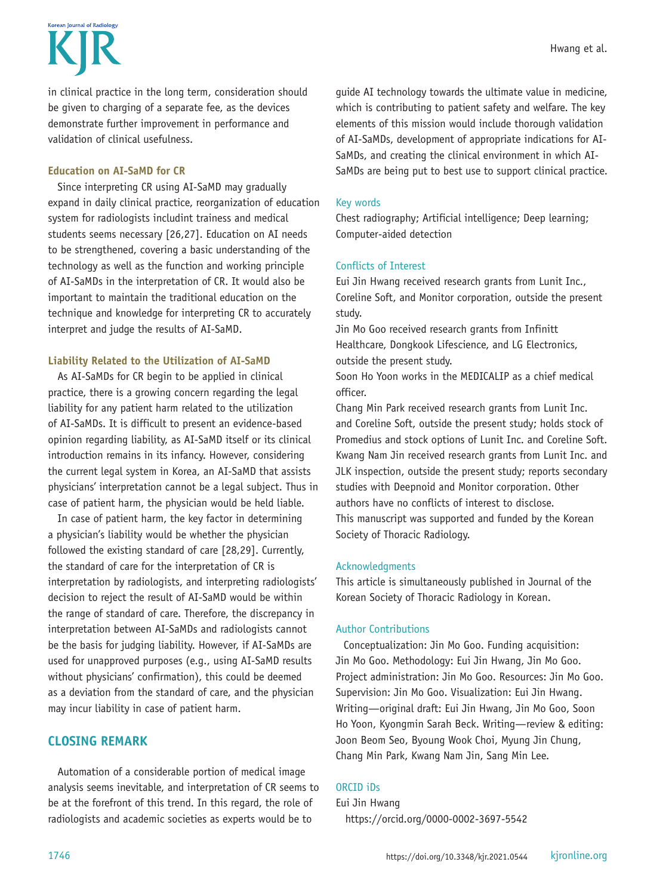Korean Journal of Radiolom

in clinical practice in the long term, consideration should be given to charging of a separate fee, as the devices demonstrate further improvement in performance and validation of clinical usefulness.

#### **Education on AI-SaMD for CR**

Since interpreting CR using AI-SaMD may gradually expand in daily clinical practice, reorganization of education system for radiologists includint trainess and medical students seems necessary [26,27]. Education on AI needs to be strengthened, covering a basic understanding of the technology as well as the function and working principle of AI-SaMDs in the interpretation of CR. It would also be important to maintain the traditional education on the technique and knowledge for interpreting CR to accurately interpret and judge the results of AI-SaMD.

#### **Liability Related to the Utilization of AI-SaMD**

As AI-SaMDs for CR begin to be applied in clinical practice, there is a growing concern regarding the legal liability for any patient harm related to the utilization of AI-SaMDs. It is difficult to present an evidence-based opinion regarding liability, as AI-SaMD itself or its clinical introduction remains in its infancy. However, considering the current legal system in Korea, an AI-SaMD that assists physicians' interpretation cannot be a legal subject. Thus in case of patient harm, the physician would be held liable.

In case of patient harm, the key factor in determining a physician's liability would be whether the physician followed the existing standard of care [28,29]. Currently, the standard of care for the interpretation of CR is interpretation by radiologists, and interpreting radiologists' decision to reject the result of AI-SaMD would be within the range of standard of care. Therefore, the discrepancy in interpretation between AI-SaMDs and radiologists cannot be the basis for judging liability. However, if AI-SaMDs are used for unapproved purposes (e.g., using AI-SaMD results without physicians' confirmation), this could be deemed as a deviation from the standard of care, and the physician may incur liability in case of patient harm.

# **CLOSING REMARK**

Automation of a considerable portion of medical image analysis seems inevitable, and interpretation of CR seems to be at the forefront of this trend. In this regard, the role of radiologists and academic societies as experts would be to

guide AI technology towards the ultimate value in medicine, which is contributing to patient safety and welfare. The key elements of this mission would include thorough validation of AI-SaMDs, development of appropriate indications for AI-SaMDs, and creating the clinical environment in which AI-SaMDs are being put to best use to support clinical practice.

#### Key words

Chest radiography; Artificial intelligence; Deep learning; Computer-aided detection

#### Conflicts of Interest

Eui Jin Hwang received research grants from Lunit Inc., Coreline Soft, and Monitor corporation, outside the present study.

Jin Mo Goo received research grants from Infinitt Healthcare, Dongkook Lifescience, and LG Electronics, outside the present study.

Soon Ho Yoon works in the MEDICALIP as a chief medical officer.

Chang Min Park received research grants from Lunit Inc. and Coreline Soft, outside the present study; holds stock of Promedius and stock options of Lunit Inc. and Coreline Soft. Kwang Nam Jin received research grants from Lunit Inc. and JLK inspection, outside the present study; reports secondary studies with Deepnoid and Monitor corporation. Other authors have no conflicts of interest to disclose. This manuscript was supported and funded by the Korean Society of Thoracic Radiology.

#### Acknowledgments

This article is simultaneously published in Journal of the Korean Society of Thoracic Radiology in Korean.

## Author Contributions

Conceptualization: Jin Mo Goo. Funding acquisition: Jin Mo Goo. Methodology: Eui Jin Hwang, Jin Mo Goo. Project administration: Jin Mo Goo. Resources: Jin Mo Goo. Supervision: Jin Mo Goo. Visualization: Eui Jin Hwang. Writing—original draft: Eui Jin Hwang, Jin Mo Goo, Soon Ho Yoon, Kyongmin Sarah Beck. Writing—review & editing: Joon Beom Seo, Byoung Wook Choi, Myung Jin Chung, Chang Min Park, Kwang Nam Jin, Sang Min Lee.

## ORCID iDs

Eui Jin Hwang https://orcid.org/0000-0002-3697-5542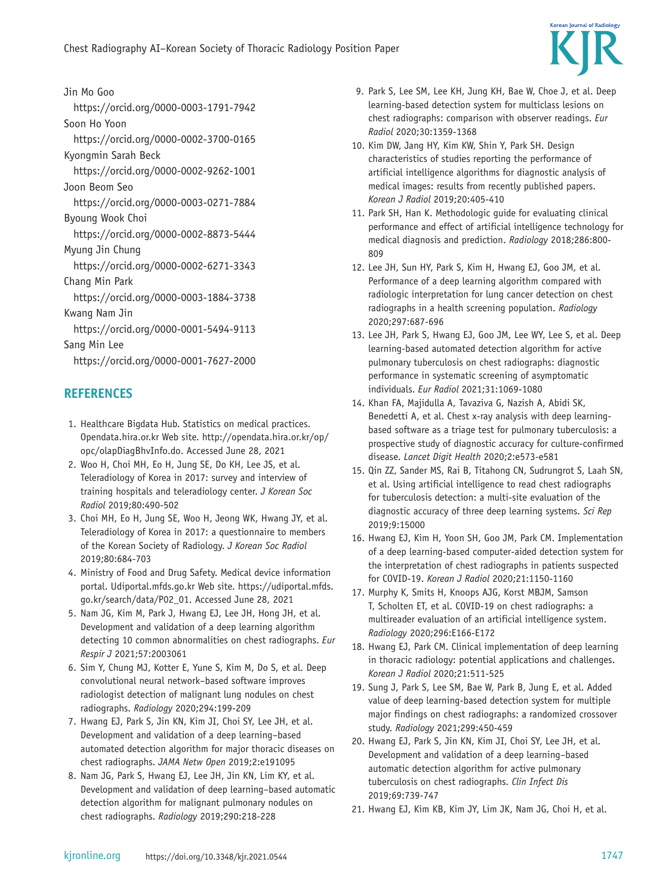

Jin Mo Goo https://orcid.org/0000-0003-1791-7942 Soon Ho Yoon https://orcid.org/0000-0002-3700-0165 Kyongmin Sarah Beck https://orcid.org/0000-0002-9262-1001 Joon Beom Seo https://orcid.org/0000-0003-0271-7884 Byoung Wook Choi https://orcid.org/0000-0002-8873-5444 Myung Jin Chung https://orcid.org/0000-0002-6271-3343 Chang Min Park https://orcid.org/0000-0003-1884-3738 Kwang Nam Jin https://orcid.org/0000-0001-5494-9113 Sang Min Lee https://orcid.org/0000-0001-7627-2000

# **REFERENCES**

- 1. Healthcare Bigdata Hub. Statistics on medical practices. Opendata.hira.or.kr Web site. http://opendata.hira.or.kr/op/ opc/olapDiagBhvInfo.do. Accessed June 28, 2021
- 2. Woo H, Choi MH, Eo H, Jung SE, Do KH, Lee JS, et al. Teleradiology of Korea in 2017: survey and interview of training hospitals and teleradiology center. *J Korean Soc Radiol* 2019;80:490-502
- 3. Choi MH, Eo H, Jung SE, Woo H, Jeong WK, Hwang JY, et al. Teleradiology of Korea in 2017: a questionnaire to members of the Korean Society of Radiology. *J Korean Soc Radiol* 2019;80:684-703
- 4. Ministry of Food and Drug Safety. Medical device information portal. Udiportal.mfds.go.kr Web site. https://udiportal.mfds. go.kr/search/data/P02\_01. Accessed June 28, 2021
- 5. Nam JG, Kim M, Park J, Hwang EJ, Lee JH, Hong JH, et al. Development and validation of a deep learning algorithm detecting 10 common abnormalities on chest radiographs. *Eur Respir J* 2021;57:2003061
- 6. Sim Y, Chung MJ, Kotter E, Yune S, Kim M, Do S, et al. Deep convolutional neural network–based software improves radiologist detection of malignant lung nodules on chest radiographs. *Radiology* 2020;294:199-209
- 7. Hwang EJ, Park S, Jin KN, Kim JI, Choi SY, Lee JH, et al. Development and validation of a deep learning–based automated detection algorithm for major thoracic diseases on chest radiographs. *JAMA Netw Open* 2019;2:e191095
- 8. Nam JG, Park S, Hwang EJ, Lee JH, Jin KN, Lim KY, et al. Development and validation of deep learning–based automatic detection algorithm for malignant pulmonary nodules on chest radiographs. *Radiology* 2019;290:218-228
- 9. Park S, Lee SM, Lee KH, Jung KH, Bae W, Choe J, et al. Deep learning-based detection system for multiclass lesions on chest radiographs: comparison with observer readings. *Eur Radiol* 2020;30:1359-1368
- 10. Kim DW, Jang HY, Kim KW, Shin Y, Park SH. Design characteristics of studies reporting the performance of artificial intelligence algorithms for diagnostic analysis of medical images: results from recently published papers. *Korean J Radiol* 2019;20:405-410
- 11. Park SH, Han K. Methodologic guide for evaluating clinical performance and effect of artificial intelligence technology for medical diagnosis and prediction. *Radiology* 2018;286:800- 809
- 12. Lee JH, Sun HY, Park S, Kim H, Hwang EJ, Goo JM, et al. Performance of a deep learning algorithm compared with radiologic interpretation for lung cancer detection on chest radiographs in a health screening population. *Radiology* 2020;297:687-696
- 13. Lee JH, Park S, Hwang EJ, Goo JM, Lee WY, Lee S, et al. Deep learning-based automated detection algorithm for active pulmonary tuberculosis on chest radiographs: diagnostic performance in systematic screening of asymptomatic individuals. *Eur Radiol* 2021;31:1069-1080
- 14. Khan FA, Majidulla A, Tavaziva G, Nazish A, Abidi SK, Benedetti A, et al. Chest x-ray analysis with deep learningbased software as a triage test for pulmonary tuberculosis: a prospective study of diagnostic accuracy for culture-confirmed disease. *Lancet Digit Health* 2020;2:e573-e581
- 15. Qin ZZ, Sander MS, Rai B, Titahong CN, Sudrungrot S, Laah SN, et al. Using artificial intelligence to read chest radiographs for tuberculosis detection: a multi-site evaluation of the diagnostic accuracy of three deep learning systems. *Sci Rep* 2019;9:15000
- 16. Hwang EJ, Kim H, Yoon SH, Goo JM, Park CM. Implementation of a deep learning-based computer-aided detection system for the interpretation of chest radiographs in patients suspected for COVID-19. *Korean J Radiol* 2020;21:1150-1160
- 17. Murphy K, Smits H, Knoops AJG, Korst MBJM, Samson T, Scholten ET, et al. COVID-19 on chest radiographs: a multireader evaluation of an artificial intelligence system. *Radiology* 2020;296:E166-E172
- 18. Hwang EJ, Park CM. Clinical implementation of deep learning in thoracic radiology: potential applications and challenges. *Korean J Radiol* 2020;21:511-525
- 19. Sung J, Park S, Lee SM, Bae W, Park B, Jung E, et al. Added value of deep learning-based detection system for multiple major findings on chest radiographs: a randomized crossover study. *Radiology* 2021;299:450-459
- 20. Hwang EJ, Park S, Jin KN, Kim JI, Choi SY, Lee JH, et al. Development and validation of a deep learning–based automatic detection algorithm for active pulmonary tuberculosis on chest radiographs. *Clin Infect Dis* 2019;69:739-747
- 21. Hwang EJ, Kim KB, Kim JY, Lim JK, Nam JG, Choi H, et al.